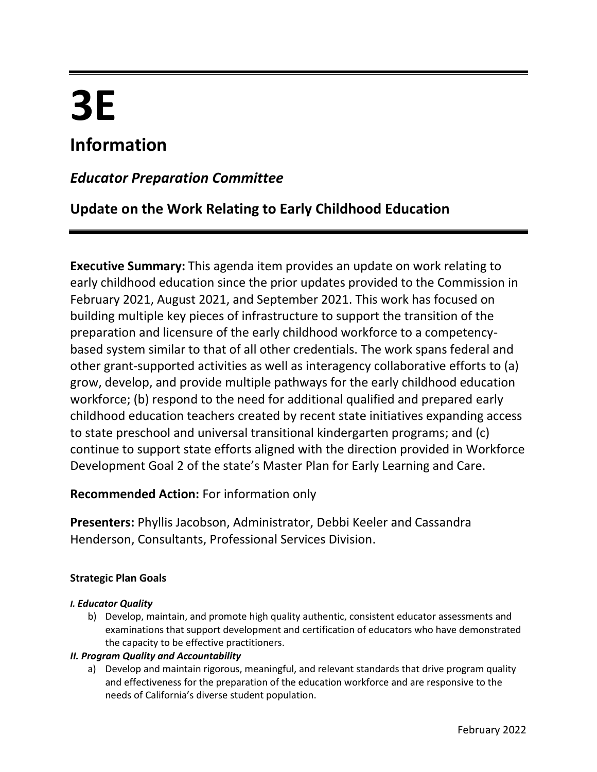# **3E**

## **Information**

## *Educator Preparation Committee*

## **Update on the Work Relating to Early Childhood Education**

**Executive Summary:** This agenda item provides an update on work relating to early childhood education since the prior updates provided to the Commission in February 2021, August 2021, and September 2021. This work has focused on building multiple key pieces of infrastructure to support the transition of the preparation and licensure of the early childhood workforce to a competencybased system similar to that of all other credentials. The work spans federal and other grant-supported activities as well as interagency collaborative efforts to (a) grow, develop, and provide multiple pathways for the early childhood education workforce; (b) respond to the need for additional qualified and prepared early childhood education teachers created by recent state initiatives expanding access to state preschool and universal transitional kindergarten programs; and (c) continue to support state efforts aligned with the direction provided in Workforce Development Goal 2 of the state's Master Plan for Early Learning and Care.

#### **Recommended Action:** For information only

**Presenters:** Phyllis Jacobson, Administrator, Debbi Keeler and Cassandra Henderson, Consultants, Professional Services Division.

#### **Strategic Plan Goals**

#### *I. Educator Quality*

b) Develop, maintain, and promote high quality authentic, consistent educator assessments and examinations that support development and certification of educators who have demonstrated the capacity to be effective practitioners.

#### *II. Program Quality and Accountability*

a) Develop and maintain rigorous, meaningful, and relevant standards that drive program quality and effectiveness for the preparation of the education workforce and are responsive to the needs of California's diverse student population.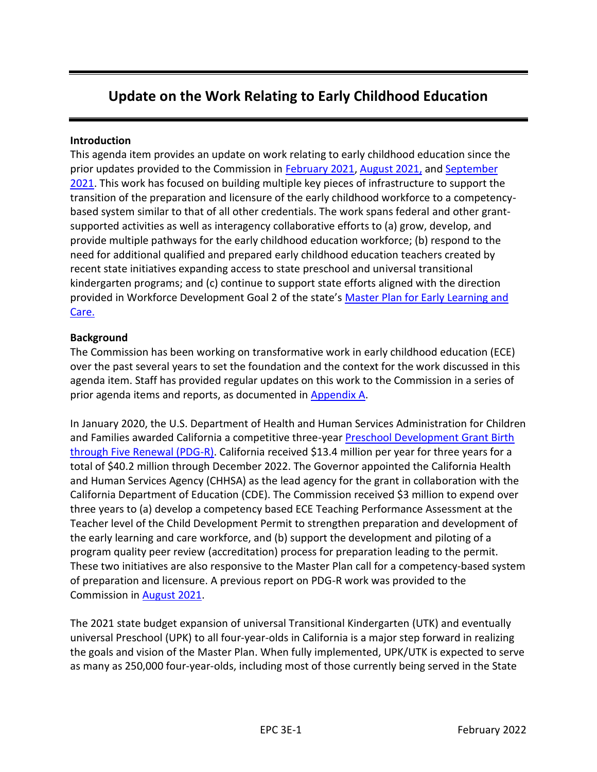## **Update on the Work Relating to Early Childhood Education**

#### **Introduction**

This agenda item provides an update on work relating to early childhood education since the prior updates provided to the Commission in [February 2021,](https://www.ctc.ca.gov/docs/default-source/commission/agendas/2021-02/2021-02-3f.pdf?sfvrsn=6b9f2bb1_4) [August 2021,](https://www.ctc.ca.gov/docs/default-source/commission/agendas/2021-08/2021-08-3d.pdf?sfvrsn=4d352ab1_2) and [September](https://www.ctc.ca.gov/docs/default-source/commission/agendas/2021-09/2021-09-2a.pdf?sfvrsn=14b325b1_2)  [2021.](https://www.ctc.ca.gov/docs/default-source/commission/agendas/2021-09/2021-09-2a.pdf?sfvrsn=14b325b1_2) This work has focused on building multiple key pieces of infrastructure to support the transition of the preparation and licensure of the early childhood workforce to a competencybased system similar to that of all other credentials. The work spans federal and other grantsupported activities as well as interagency collaborative efforts to (a) grow, develop, and provide multiple pathways for the early childhood education workforce; (b) respond to the need for additional qualified and prepared early childhood education teachers created by recent state initiatives expanding access to state preschool and universal transitional kindergarten programs; and (c) continue to support state efforts aligned with the direction provided in Workforce Development Goal 2 of the state's [Master Plan for Early Learning and](https://www.chhs.ca.gov/home/master-plan-for-early-learning-and-care/)  [Care.](https://www.chhs.ca.gov/home/master-plan-for-early-learning-and-care/)

#### **Background**

The Commission has been working on transformative work in early childhood education (ECE) over the past several years to set the foundation and the context for the work discussed in this agenda item. Staff has provided regular updates on this work to the Commission in a series of prior agenda items and reports, as documented in [Appendix A.](#page-10-0)

In January 2020, the U.S. Department of Health and Human Services Administration for Children and Families awarded California a competitive three-year Preschool Development Grant Birth [through Five Renewal \(PDG-R\).](https://www.chhs.ca.gov/blog/2020/01/28/pdgr/) California received \$13.4 million per year for three years for a total of \$40.2 million through December 2022. The Governor appointed the California Health and Human Services Agency (CHHSA) as the lead agency for the grant in collaboration with the California Department of Education (CDE). The Commission received \$3 million to expend over three years to (a) develop a competency based ECE Teaching Performance Assessment at the Teacher level of the Child Development Permit to strengthen preparation and development of the early learning and care workforce, and (b) support the development and piloting of a program quality peer review (accreditation) process for preparation leading to the permit. These two initiatives are also responsive to the Master Plan call for a competency-based system of preparation and licensure. A previous report on PDG-R work was provided to the Commission in [August 2021.](https://www.ctc.ca.gov/docs/default-source/commission/agendas/2021-08/2021-08-3d.pdf?sfvrsn=4d352ab1_2)

The 2021 state budget expansion of universal Transitional Kindergarten (UTK) and eventually universal Preschool (UPK) to all four-year-olds in California is a major step forward in realizing the goals and vision of the Master Plan. When fully implemented, UPK/UTK is expected to serve as many as 250,000 four-year-olds, including most of those currently being served in the State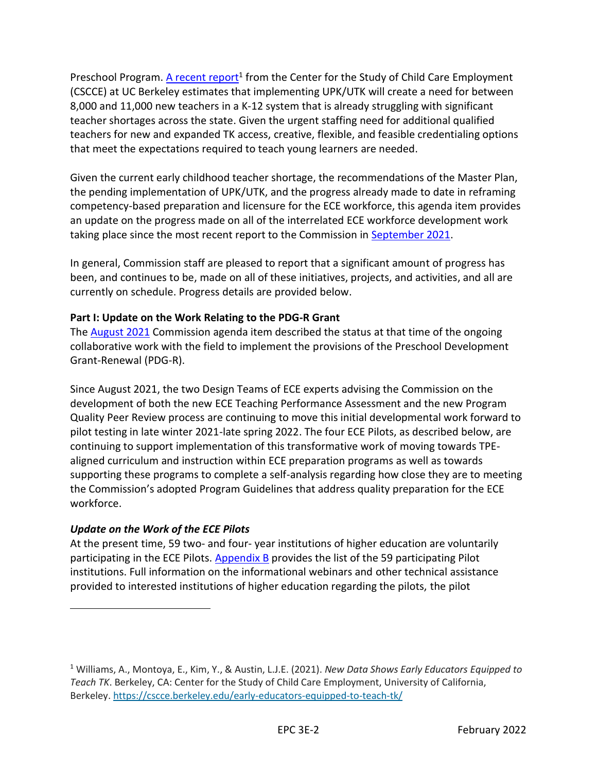Preschool Program. [A recent report](https://cscce.berkeley.edu/early-educators-equipped-to-teach-tk/)<sup>1</sup> from the Center for the Study of Child Care Employment (CSCCE) at UC Berkeley estimates that implementing UPK/UTK will create a need for between 8,000 and 11,000 new teachers in a K-12 system that is already struggling with significant teacher shortages across the state. Given the urgent staffing need for additional qualified teachers for new and expanded TK access, creative, flexible, and feasible credentialing options that meet the expectations required to teach young learners are needed.

Given the current early childhood teacher shortage, the recommendations of the Master Plan, the pending implementation of UPK/UTK, and the progress already made to date in reframing competency-based preparation and licensure for the ECE workforce, this agenda item provides an update on the progress made on all of the interrelated ECE workforce development work taking place since the most recent report to the Commission in [September 2021.](https://www.ctc.ca.gov/docs/default-source/commission/agendas/2021-09/2021-09-2a.pdf?sfvrsn=14b325b1_2)

In general, Commission staff are pleased to report that a significant amount of progress has been, and continues to be, made on all of these initiatives, projects, and activities, and all are currently on schedule. Progress details are provided below.

#### **Part I: Update on the Work Relating to the PDG-R Grant**

The **August 2021** Commission agenda item described the status at that time of the ongoing collaborative work with the field to implement the provisions of the Preschool Development Grant-Renewal (PDG-R).

Since August 2021, the two Design Teams of ECE experts advising the Commission on the development of both the new ECE Teaching Performance Assessment and the new Program Quality Peer Review process are continuing to move this initial developmental work forward to pilot testing in late winter 2021-late spring 2022. The four ECE Pilots, as described below, are continuing to support implementation of this transformative work of moving towards TPEaligned curriculum and instruction within ECE preparation programs as well as towards supporting these programs to complete a self-analysis regarding how close they are to meeting the Commission's adopted Program Guidelines that address quality preparation for the ECE workforce.

#### *Update on the Work of the ECE Pilots*

At the present time, 59 two- and four- year institutions of higher education are voluntarily participating in the ECE Pilots. [Appendix B](#page-11-0) provides the list of the 59 participating Pilot institutions. Full information on the informational webinars and other technical assistance provided to interested institutions of higher education regarding the pilots, the pilot

<sup>1</sup> Williams, A., Montoya, E., Kim, Y., & Austin, L.J.E. (2021). *New Data Shows Early Educators Equipped to Teach TK*. Berkeley, CA: Center for the Study of Child Care Employment, University of California, Berkeley.<https://cscce.berkeley.edu/early-educators-equipped-to-teach-tk/>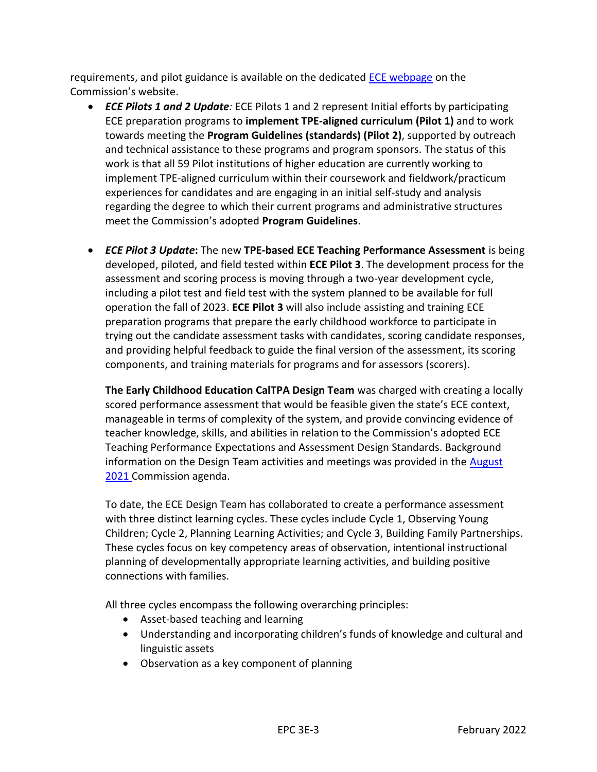requirements, and pilot guidance is available on the dedicated [ECE webpage](https://www.ctc.ca.gov/educator-prep/early-care) on the Commission's website.

- *ECE Pilots 1 and 2 Update:* ECE Pilots 1 and 2 represent Initial efforts by participating ECE preparation programs to **implement TPE-aligned curriculum (Pilot 1)** and to work towards meeting the **Program Guidelines (standards) (Pilot 2)**, supported by outreach and technical assistance to these programs and program sponsors. The status of this work is that all 59 Pilot institutions of higher education are currently working to implement TPE-aligned curriculum within their coursework and fieldwork/practicum experiences for candidates and are engaging in an initial self-study and analysis regarding the degree to which their current programs and administrative structures meet the Commission's adopted **Program Guidelines**.
- *ECE Pilot 3 Update***:** The new **TPE-based ECE Teaching Performance Assessment** is being developed, piloted, and field tested within **ECE Pilot 3**. The development process for the assessment and scoring process is moving through a two-year development cycle, including a pilot test and field test with the system planned to be available for full operation the fall of 2023. **ECE Pilot 3** will also include assisting and training ECE preparation programs that prepare the early childhood workforce to participate in trying out the candidate assessment tasks with candidates, scoring candidate responses, and providing helpful feedback to guide the final version of the assessment, its scoring components, and training materials for programs and for assessors (scorers).

**The Early Childhood Education CalTPA Design Team** was charged with creating a locally scored performance assessment that would be feasible given the state's ECE context, manageable in terms of complexity of the system, and provide convincing evidence of teacher knowledge, skills, and abilities in relation to the Commission's adopted ECE Teaching Performance Expectations and Assessment Design Standards. Background information on the Design Team activities and meetings was provided in the [August](https://www.ctc.ca.gov/docs/default-source/commission/agendas/2021-08/2021-08-3d.pdf?sfvrsn=4d352ab1_2)  [2021](https://www.ctc.ca.gov/docs/default-source/commission/agendas/2021-08/2021-08-3d.pdf?sfvrsn=4d352ab1_2) Commission agenda.

To date, the ECE Design Team has collaborated to create a performance assessment with three distinct learning cycles. These cycles include Cycle 1, Observing Young Children; Cycle 2, Planning Learning Activities; and Cycle 3, Building Family Partnerships. These cycles focus on key competency areas of observation, intentional instructional planning of developmentally appropriate learning activities, and building positive connections with families.

All three cycles encompass the following overarching principles:

- Asset-based teaching and learning
- Understanding and incorporating children's funds of knowledge and cultural and linguistic assets
- Observation as a key component of planning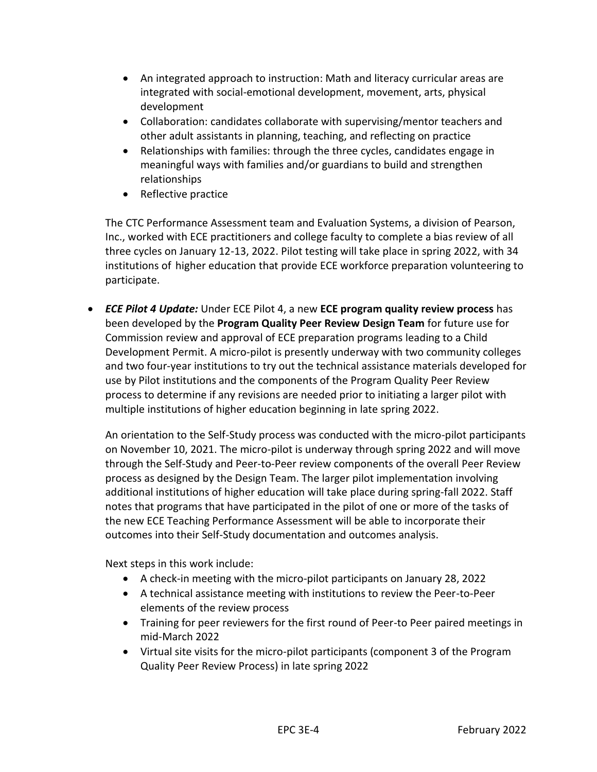- An integrated approach to instruction: Math and literacy curricular areas are integrated with social-emotional development, movement, arts, physical development
- Collaboration: candidates collaborate with supervising/mentor teachers and other adult assistants in planning, teaching, and reflecting on practice
- Relationships with families: through the three cycles, candidates engage in meaningful ways with families and/or guardians to build and strengthen relationships
- Reflective practice

The CTC Performance Assessment team and Evaluation Systems, a division of Pearson, Inc., worked with ECE practitioners and college faculty to complete a bias review of all three cycles on January 12-13, 2022. Pilot testing will take place in spring 2022, with 34 institutions of higher education that provide ECE workforce preparation volunteering to participate.

• *ECE Pilot 4 Update:* Under ECE Pilot 4, a new **ECE program quality review process** has been developed by the **Program Quality Peer Review Design Team** for future use for Commission review and approval of ECE preparation programs leading to a Child Development Permit. A micro-pilot is presently underway with two community colleges and two four-year institutions to try out the technical assistance materials developed for use by Pilot institutions and the components of the Program Quality Peer Review process to determine if any revisions are needed prior to initiating a larger pilot with multiple institutions of higher education beginning in late spring 2022.

An orientation to the Self-Study process was conducted with the micro-pilot participants on November 10, 2021. The micro-pilot is underway through spring 2022 and will move through the Self-Study and Peer-to-Peer review components of the overall Peer Review process as designed by the Design Team. The larger pilot implementation involving additional institutions of higher education will take place during spring-fall 2022. Staff notes that programs that have participated in the pilot of one or more of the tasks of the new ECE Teaching Performance Assessment will be able to incorporate their outcomes into their Self-Study documentation and outcomes analysis.

Next steps in this work include:

- A check-in meeting with the micro-pilot participants on January 28, 2022
- A technical assistance meeting with institutions to review the Peer-to-Peer elements of the review process
- Training for peer reviewers for the first round of Peer-to Peer paired meetings in mid-March 2022
- Virtual site visits for the micro-pilot participants (component 3 of the Program Quality Peer Review Process) in late spring 2022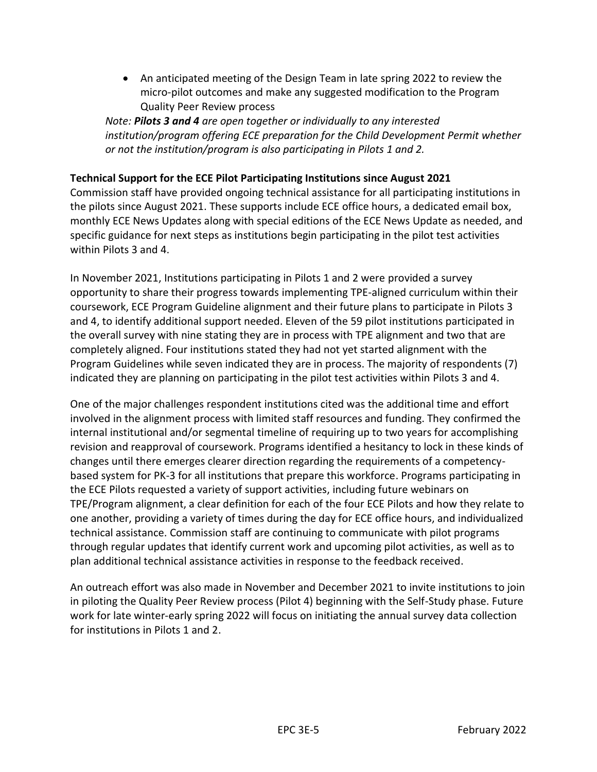• An anticipated meeting of the Design Team in late spring 2022 to review the micro-pilot outcomes and make any suggested modification to the Program Quality Peer Review process

*Note: Pilots 3 and 4 are open together or individually to any interested institution/program offering ECE preparation for the Child Development Permit whether or not the institution/program is also participating in Pilots 1 and 2.* 

#### **Technical Support for the ECE Pilot Participating Institutions since August 2021**

Commission staff have provided ongoing technical assistance for all participating institutions in the pilots since August 2021. These supports include ECE office hours, a dedicated email box, monthly ECE News Updates along with special editions of the ECE News Update as needed, and specific guidance for next steps as institutions begin participating in the pilot test activities within Pilots 3 and 4.

In November 2021, Institutions participating in Pilots 1 and 2 were provided a survey opportunity to share their progress towards implementing TPE-aligned curriculum within their coursework, ECE Program Guideline alignment and their future plans to participate in Pilots 3 and 4, to identify additional support needed. Eleven of the 59 pilot institutions participated in the overall survey with nine stating they are in process with TPE alignment and two that are completely aligned. Four institutions stated they had not yet started alignment with the Program Guidelines while seven indicated they are in process. The majority of respondents (7) indicated they are planning on participating in the pilot test activities within Pilots 3 and 4.

One of the major challenges respondent institutions cited was the additional time and effort involved in the alignment process with limited staff resources and funding. They confirmed the internal institutional and/or segmental timeline of requiring up to two years for accomplishing revision and reapproval of coursework. Programs identified a hesitancy to lock in these kinds of changes until there emerges clearer direction regarding the requirements of a competencybased system for PK-3 for all institutions that prepare this workforce. Programs participating in the ECE Pilots requested a variety of support activities, including future webinars on TPE/Program alignment, a clear definition for each of the four ECE Pilots and how they relate to one another, providing a variety of times during the day for ECE office hours, and individualized technical assistance. Commission staff are continuing to communicate with pilot programs through regular updates that identify current work and upcoming pilot activities, as well as to plan additional technical assistance activities in response to the feedback received.

An outreach effort was also made in November and December 2021 to invite institutions to join in piloting the Quality Peer Review process (Pilot 4) beginning with the Self-Study phase. Future work for late winter-early spring 2022 will focus on initiating the annual survey data collection for institutions in Pilots 1 and 2.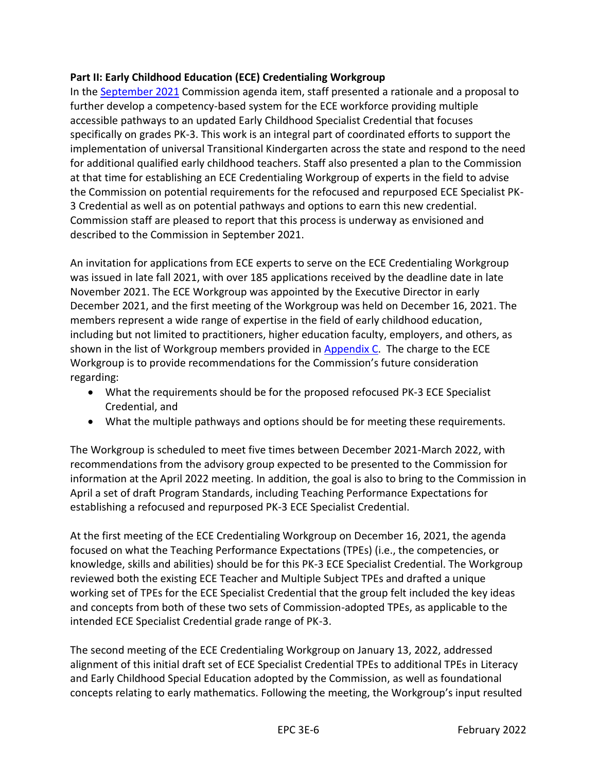#### **Part II: Early Childhood Education (ECE) Credentialing Workgroup**

In the [September 2021](https://www.ctc.ca.gov/docs/default-source/commission/agendas/2021-09/2021-09-2a.pdf?sfvrsn=14b325b1_2) Commission agenda item, staff presented a rationale and a proposal to further develop a competency-based system for the ECE workforce providing multiple accessible pathways to an updated Early Childhood Specialist Credential that focuses specifically on grades PK-3. This work is an integral part of coordinated efforts to support the implementation of universal Transitional Kindergarten across the state and respond to the need for additional qualified early childhood teachers. Staff also presented a plan to the Commission at that time for establishing an ECE Credentialing Workgroup of experts in the field to advise the Commission on potential requirements for the refocused and repurposed ECE Specialist PK-3 Credential as well as on potential pathways and options to earn this new credential. Commission staff are pleased to report that this process is underway as envisioned and described to the Commission in September 2021.

An invitation for applications from ECE experts to serve on the ECE Credentialing Workgroup was issued in late fall 2021, with over 185 applications received by the deadline date in late November 2021. The ECE Workgroup was appointed by the Executive Director in early December 2021, and the first meeting of the Workgroup was held on December 16, 2021. The members represent a wide range of expertise in the field of early childhood education, including but not limited to practitioners, higher education faculty, employers, and others, as shown in the list of Workgroup members provided in [Appendix C.](#page-12-0) The charge to the ECE Workgroup is to provide recommendations for the Commission's future consideration regarding:

- What the requirements should be for the proposed refocused PK-3 ECE Specialist Credential, and
- What the multiple pathways and options should be for meeting these requirements.

The Workgroup is scheduled to meet five times between December 2021-March 2022, with recommendations from the advisory group expected to be presented to the Commission for information at the April 2022 meeting. In addition, the goal is also to bring to the Commission in April a set of draft Program Standards, including Teaching Performance Expectations for establishing a refocused and repurposed PK-3 ECE Specialist Credential.

At the first meeting of the ECE Credentialing Workgroup on December 16, 2021, the agenda focused on what the Teaching Performance Expectations (TPEs) (i.e., the competencies, or knowledge, skills and abilities) should be for this PK-3 ECE Specialist Credential. The Workgroup reviewed both the existing ECE Teacher and Multiple Subject TPEs and drafted a unique working set of TPEs for the ECE Specialist Credential that the group felt included the key ideas and concepts from both of these two sets of Commission-adopted TPEs, as applicable to the intended ECE Specialist Credential grade range of PK-3.

The second meeting of the ECE Credentialing Workgroup on January 13, 2022, addressed alignment of this initial draft set of ECE Specialist Credential TPEs to additional TPEs in Literacy and Early Childhood Special Education adopted by the Commission, as well as foundational concepts relating to early mathematics. Following the meeting, the Workgroup's input resulted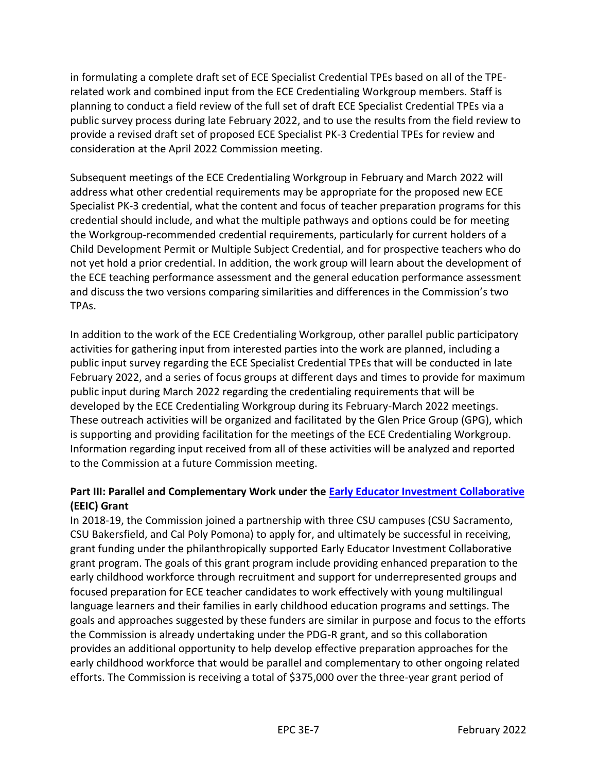in formulating a complete draft set of ECE Specialist Credential TPEs based on all of the TPErelated work and combined input from the ECE Credentialing Workgroup members. Staff is planning to conduct a field review of the full set of draft ECE Specialist Credential TPEs via a public survey process during late February 2022, and to use the results from the field review to provide a revised draft set of proposed ECE Specialist PK-3 Credential TPEs for review and consideration at the April 2022 Commission meeting.

Subsequent meetings of the ECE Credentialing Workgroup in February and March 2022 will address what other credential requirements may be appropriate for the proposed new ECE Specialist PK-3 credential, what the content and focus of teacher preparation programs for this credential should include, and what the multiple pathways and options could be for meeting the Workgroup-recommended credential requirements, particularly for current holders of a Child Development Permit or Multiple Subject Credential, and for prospective teachers who do not yet hold a prior credential. In addition, the work group will learn about the development of the ECE teaching performance assessment and the general education performance assessment and discuss the two versions comparing similarities and differences in the Commission's two TPAs.

In addition to the work of the ECE Credentialing Workgroup, other parallel public participatory activities for gathering input from interested parties into the work are planned, including a public input survey regarding the ECE Specialist Credential TPEs that will be conducted in late February 2022, and a series of focus groups at different days and times to provide for maximum public input during March 2022 regarding the credentialing requirements that will be developed by the ECE Credentialing Workgroup during its February-March 2022 meetings. These outreach activities will be organized and facilitated by the Glen Price Group (GPG), which is supporting and providing facilitation for the meetings of the ECE Credentialing Workgroup. Information regarding input received from all of these activities will be analyzed and reported to the Commission at a future Commission meeting.

#### **Part III: Parallel and Complementary Work under the [Early Educator Investment Collaborative](https://earlyedcollaborative.org/) (EEIC) Grant**

In 2018-19, the Commission joined a partnership with three CSU campuses (CSU Sacramento, CSU Bakersfield, and Cal Poly Pomona) to apply for, and ultimately be successful in receiving, grant funding under the philanthropically supported Early Educator Investment Collaborative grant program. The goals of this grant program include providing enhanced preparation to the early childhood workforce through recruitment and support for underrepresented groups and focused preparation for ECE teacher candidates to work effectively with young multilingual language learners and their families in early childhood education programs and settings. The goals and approaches suggested by these funders are similar in purpose and focus to the efforts the Commission is already undertaking under the PDG-R grant, and so this collaboration provides an additional opportunity to help develop effective preparation approaches for the early childhood workforce that would be parallel and complementary to other ongoing related efforts. The Commission is receiving a total of \$375,000 over the three-year grant period of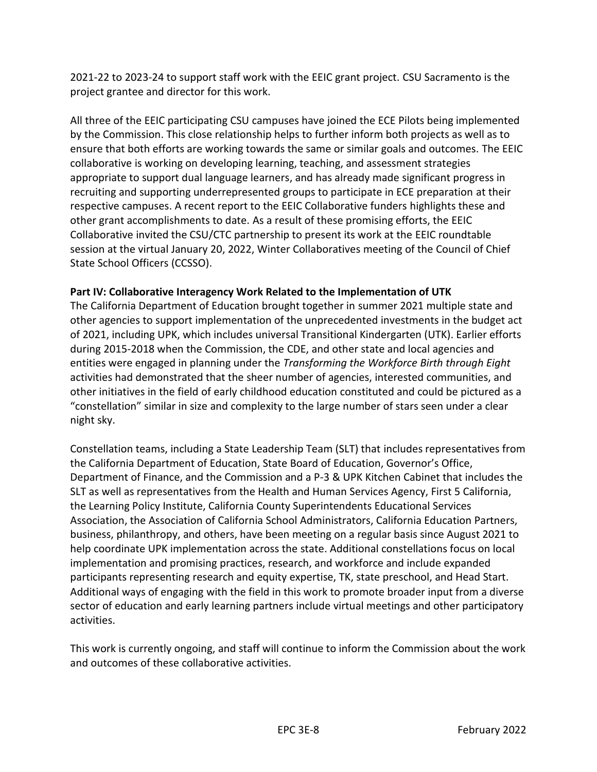2021-22 to 2023-24 to support staff work with the EEIC grant project. CSU Sacramento is the project grantee and director for this work.

All three of the EEIC participating CSU campuses have joined the ECE Pilots being implemented by the Commission. This close relationship helps to further inform both projects as well as to ensure that both efforts are working towards the same or similar goals and outcomes. The EEIC collaborative is working on developing learning, teaching, and assessment strategies appropriate to support dual language learners, and has already made significant progress in recruiting and supporting underrepresented groups to participate in ECE preparation at their respective campuses. A recent report to the EEIC Collaborative funders highlights these and other grant accomplishments to date. As a result of these promising efforts, the EEIC Collaborative invited the CSU/CTC partnership to present its work at the EEIC roundtable session at the virtual January 20, 2022, Winter Collaboratives meeting of the Council of Chief State School Officers (CCSSO).

#### **Part IV: Collaborative Interagency Work Related to the Implementation of UTK**

The California Department of Education brought together in summer 2021 multiple state and other agencies to support implementation of the unprecedented investments in the budget act of 2021, including UPK, which includes universal Transitional Kindergarten (UTK). Earlier efforts during 2015-2018 when the Commission, the CDE, and other state and local agencies and entities were engaged in planning under the *Transforming the Workforce Birth through Eight* activities had demonstrated that the sheer number of agencies, interested communities, and other initiatives in the field of early childhood education constituted and could be pictured as a "constellation" similar in size and complexity to the large number of stars seen under a clear night sky.

Constellation teams, including a State Leadership Team (SLT) that includes representatives from the California Department of Education, State Board of Education, Governor's Office, Department of Finance, and the Commission and a P-3 & UPK Kitchen Cabinet that includes the SLT as well as representatives from the Health and Human Services Agency, First 5 California, the Learning Policy Institute, California County Superintendents Educational Services Association, the Association of California School Administrators, California Education Partners, business, philanthropy, and others, have been meeting on a regular basis since August 2021 to help coordinate UPK implementation across the state. Additional constellations focus on local implementation and promising practices, research, and workforce and include expanded participants representing research and equity expertise, TK, state preschool, and Head Start. Additional ways of engaging with the field in this work to promote broader input from a diverse sector of education and early learning partners include virtual meetings and other participatory activities.

This work is currently ongoing, and staff will continue to inform the Commission about the work and outcomes of these collaborative activities.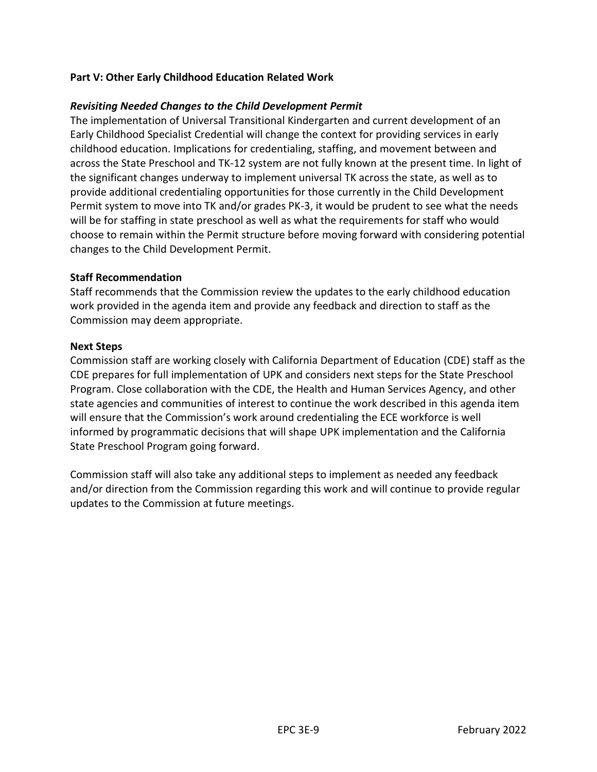#### **Part V: Other Early Childhood Education Related Work**

#### *Revisiting Needed Changes to the Child Development Permit*

The implementation of Universal Transitional Kindergarten and current development of an Early Childhood Specialist Credential will change the context for providing services in early childhood education. Implications for credentialing, staffing, and movement between and across the State Preschool and TK-12 system are not fully known at the present time. In light of the significant changes underway to implement universal TK across the state, as well as to provide additional credentialing opportunities for those currently in the Child Development Permit system to move into TK and/or grades PK-3, it would be prudent to see what the needs will be for staffing in state preschool as well as what the requirements for staff who would choose to remain within the Permit structure before moving forward with considering potential changes to the Child Development Permit.

#### **Staff Recommendation**

Staff recommends that the Commission review the updates to the early childhood education work provided in the agenda item and provide any feedback and direction to staff as the Commission may deem appropriate.

#### **Next Steps**

Commission staff are working closely with California Department of Education (CDE) staff as the CDE prepares for full implementation of UPK and considers next steps for the State Preschool Program. Close collaboration with the CDE, the Health and Human Services Agency, and other state agencies and communities of interest to continue the work described in this agenda item will ensure that the Commission's work around credentialing the ECE workforce is well informed by programmatic decisions that will shape UPK implementation and the California State Preschool Program going forward.

Commission staff will also take any additional steps to implement as needed any feedback and/or direction from the Commission regarding this work and will continue to provide regular updates to the Commission at future meetings.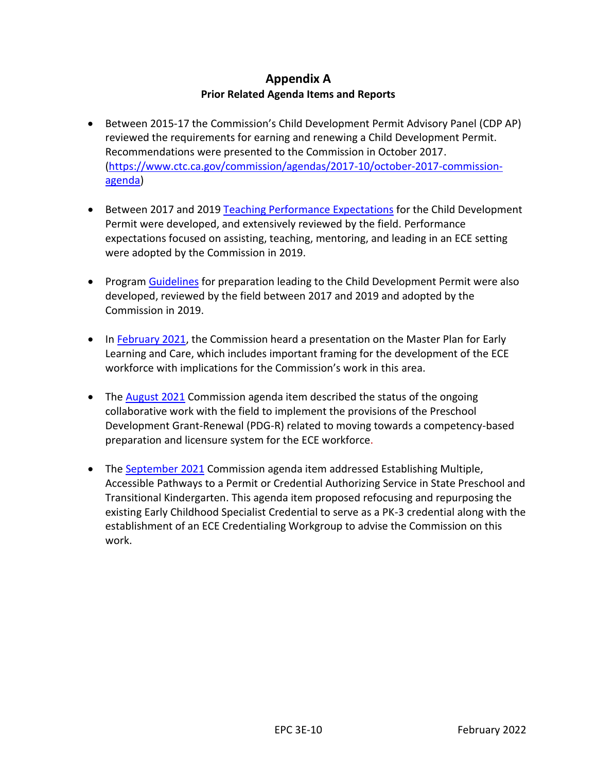#### **Appendix A Prior Related Agenda Items and Reports**

- <span id="page-10-0"></span>• Between 2015-17 the Commission's Child Development Permit Advisory Panel (CDP AP) reviewed the requirements for earning and renewing a Child Development Permit. Recommendations were presented to the Commission in October 2017. [\(https://www.ctc.ca.gov/commission/agendas/2017-10/october-2017-commission](https://www.ctc.ca.gov/commission/agendas/2017-10/october-2017-commission-agenda)[agenda\)](https://www.ctc.ca.gov/commission/agendas/2017-10/october-2017-commission-agenda)
- Between 2017 and 2019 [Teaching Performance Expectations](https://www.ctc.ca.gov/docs/default-source/educator-prep/standards/ece-performance-expectations-pdf.pdf?sfvrsn=2#:~:text=The%20ECE%20Teaching%20Performance%20Expectations%20%28ECE-TPEs%29%20represent%20the,learn%20and%20practice%20in%20preparation%20programs%20in%20California.) for the Child Development Permit were developed, and extensively reviewed by the field. Performance expectations focused on assisting, teaching, mentoring, and leading in an ECE setting were adopted by the Commission in 2019.
- Program [Guidelines](https://www.ctc.ca.gov/docs/default-source/educator-prep/standards/ece-program-guidelines-pdf.pdf?sfvrsn=ba5b53b1_6#:~:text=ECE%20Program%20Guidelines%203%20April%202019%20The%20program,support%20learning%20and%20access%20for%20all%20young%20children.) for preparation leading to the Child Development Permit were also developed, reviewed by the field between 2017 and 2019 and adopted by the Commission in 2019.
- In [February 2021,](https://www.ctc.ca.gov/docs/default-source/commission/agendas/2021-02/2021-02-3f.pdf?sfvrsn=6b9f2bb1_6) the Commission heard a presentation on the Master Plan for Early Learning and Care, which includes important framing for the development of the ECE workforce with implications for the Commission's work in this area.
- The [August 2021](https://www.ctc.ca.gov/docs/default-source/commission/agendas/2021-08/2021-08-3d.pdf?sfvrsn=4d352ab1_2) Commission agenda item described the status of the ongoing collaborative work with the field to implement the provisions of the Preschool Development Grant-Renewal (PDG-R) related to moving towards a competency-based preparation and licensure system for the ECE workforce.
- The [September 2021](https://www.ctc.ca.gov/docs/default-source/commission/agendas/2021-09/2021-09-2a.pdf?sfvrsn=14b325b1_2) Commission agenda item addressed Establishing Multiple, Accessible Pathways to a Permit or Credential Authorizing Service in State Preschool and Transitional Kindergarten. This agenda item proposed refocusing and repurposing the existing Early Childhood Specialist Credential to serve as a PK-3 credential along with the establishment of an ECE Credentialing Workgroup to advise the Commission on this work.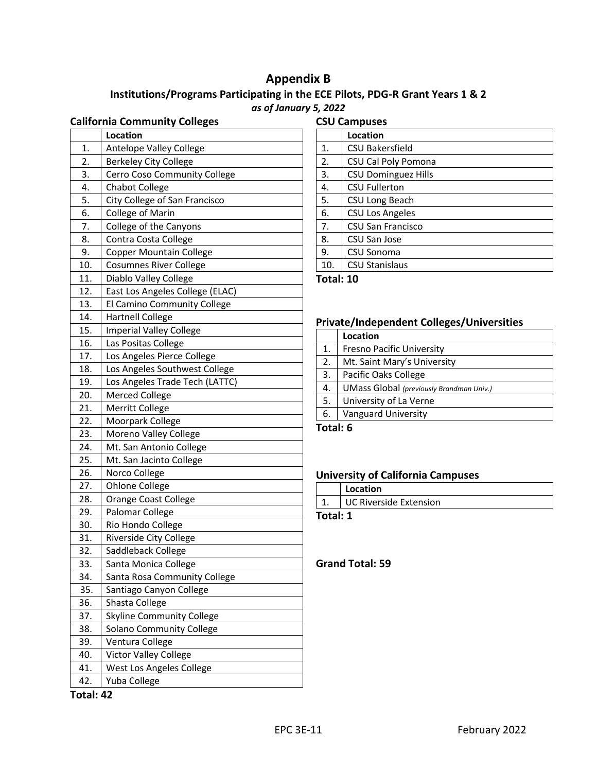#### **Appendix B**

### <span id="page-11-0"></span>**Institutions/Programs Participating in the ECE Pilots, PDG-R Grant Years 1 & 2**  *as of January 5, 2022*

#### **California Community Colleges**

| Antelope Valley College<br>1.<br><b>Berkeley City College</b><br>2.<br>3.<br>Cerro Coso Community College<br>4.<br><b>Chabot College</b><br>5.<br>City College of San Francisco<br>6.<br><b>College of Marin</b><br>7.<br>College of the Canyons<br>8.<br>Contra Costa College<br>9.<br><b>Copper Mountain College</b><br><b>Cosumnes River College</b><br>10.<br>11.<br>Diablo Valley College<br>12.<br>East Los Angeles College (ELAC)<br>13.<br>El Camino Community College<br>14.<br><b>Hartnell College</b><br>15.<br><b>Imperial Valley College</b><br>16.<br>Las Positas College<br>Los Angeles Pierce College<br>17.<br>18.<br>Los Angeles Southwest College<br>Los Angeles Trade Tech (LATTC)<br>19.<br>20.<br><b>Merced College</b><br>Merritt College<br>21.<br>22.<br>Moorpark College<br>23.<br>Moreno Valley College<br>Mt. San Antonio College<br>24.<br>Mt. San Jacinto College<br>25.<br>26.<br>Norco College<br>27.<br><b>Ohlone College</b><br>28.<br>Orange Coast College<br>Palomar College<br>29.<br>30.<br>Rio Hondo College<br>31.<br>Riverside City College<br>32.<br>Saddleback College<br>33.<br>Santa Monica College<br>34.<br>Santa Rosa Community College<br>Santiago Canyon College<br>35.<br>Shasta College<br>36.<br>37.<br><b>Skyline Community College</b><br>38.<br>Solano Community College<br>39.<br>Ventura College<br>Victor Valley College<br>40.<br>West Los Angeles College<br>41.<br>Yuba College<br>42. | Location |
|------------------------------------------------------------------------------------------------------------------------------------------------------------------------------------------------------------------------------------------------------------------------------------------------------------------------------------------------------------------------------------------------------------------------------------------------------------------------------------------------------------------------------------------------------------------------------------------------------------------------------------------------------------------------------------------------------------------------------------------------------------------------------------------------------------------------------------------------------------------------------------------------------------------------------------------------------------------------------------------------------------------------------------------------------------------------------------------------------------------------------------------------------------------------------------------------------------------------------------------------------------------------------------------------------------------------------------------------------------------------------------------------------------------------------------------------------|----------|
|                                                                                                                                                                                                                                                                                                                                                                                                                                                                                                                                                                                                                                                                                                                                                                                                                                                                                                                                                                                                                                                                                                                                                                                                                                                                                                                                                                                                                                                      |          |
|                                                                                                                                                                                                                                                                                                                                                                                                                                                                                                                                                                                                                                                                                                                                                                                                                                                                                                                                                                                                                                                                                                                                                                                                                                                                                                                                                                                                                                                      |          |
|                                                                                                                                                                                                                                                                                                                                                                                                                                                                                                                                                                                                                                                                                                                                                                                                                                                                                                                                                                                                                                                                                                                                                                                                                                                                                                                                                                                                                                                      |          |
|                                                                                                                                                                                                                                                                                                                                                                                                                                                                                                                                                                                                                                                                                                                                                                                                                                                                                                                                                                                                                                                                                                                                                                                                                                                                                                                                                                                                                                                      |          |
|                                                                                                                                                                                                                                                                                                                                                                                                                                                                                                                                                                                                                                                                                                                                                                                                                                                                                                                                                                                                                                                                                                                                                                                                                                                                                                                                                                                                                                                      |          |
|                                                                                                                                                                                                                                                                                                                                                                                                                                                                                                                                                                                                                                                                                                                                                                                                                                                                                                                                                                                                                                                                                                                                                                                                                                                                                                                                                                                                                                                      |          |
|                                                                                                                                                                                                                                                                                                                                                                                                                                                                                                                                                                                                                                                                                                                                                                                                                                                                                                                                                                                                                                                                                                                                                                                                                                                                                                                                                                                                                                                      |          |
|                                                                                                                                                                                                                                                                                                                                                                                                                                                                                                                                                                                                                                                                                                                                                                                                                                                                                                                                                                                                                                                                                                                                                                                                                                                                                                                                                                                                                                                      |          |
|                                                                                                                                                                                                                                                                                                                                                                                                                                                                                                                                                                                                                                                                                                                                                                                                                                                                                                                                                                                                                                                                                                                                                                                                                                                                                                                                                                                                                                                      |          |
|                                                                                                                                                                                                                                                                                                                                                                                                                                                                                                                                                                                                                                                                                                                                                                                                                                                                                                                                                                                                                                                                                                                                                                                                                                                                                                                                                                                                                                                      |          |
|                                                                                                                                                                                                                                                                                                                                                                                                                                                                                                                                                                                                                                                                                                                                                                                                                                                                                                                                                                                                                                                                                                                                                                                                                                                                                                                                                                                                                                                      |          |
|                                                                                                                                                                                                                                                                                                                                                                                                                                                                                                                                                                                                                                                                                                                                                                                                                                                                                                                                                                                                                                                                                                                                                                                                                                                                                                                                                                                                                                                      |          |
|                                                                                                                                                                                                                                                                                                                                                                                                                                                                                                                                                                                                                                                                                                                                                                                                                                                                                                                                                                                                                                                                                                                                                                                                                                                                                                                                                                                                                                                      |          |
|                                                                                                                                                                                                                                                                                                                                                                                                                                                                                                                                                                                                                                                                                                                                                                                                                                                                                                                                                                                                                                                                                                                                                                                                                                                                                                                                                                                                                                                      |          |
|                                                                                                                                                                                                                                                                                                                                                                                                                                                                                                                                                                                                                                                                                                                                                                                                                                                                                                                                                                                                                                                                                                                                                                                                                                                                                                                                                                                                                                                      |          |
|                                                                                                                                                                                                                                                                                                                                                                                                                                                                                                                                                                                                                                                                                                                                                                                                                                                                                                                                                                                                                                                                                                                                                                                                                                                                                                                                                                                                                                                      |          |
|                                                                                                                                                                                                                                                                                                                                                                                                                                                                                                                                                                                                                                                                                                                                                                                                                                                                                                                                                                                                                                                                                                                                                                                                                                                                                                                                                                                                                                                      |          |
|                                                                                                                                                                                                                                                                                                                                                                                                                                                                                                                                                                                                                                                                                                                                                                                                                                                                                                                                                                                                                                                                                                                                                                                                                                                                                                                                                                                                                                                      |          |
|                                                                                                                                                                                                                                                                                                                                                                                                                                                                                                                                                                                                                                                                                                                                                                                                                                                                                                                                                                                                                                                                                                                                                                                                                                                                                                                                                                                                                                                      |          |
|                                                                                                                                                                                                                                                                                                                                                                                                                                                                                                                                                                                                                                                                                                                                                                                                                                                                                                                                                                                                                                                                                                                                                                                                                                                                                                                                                                                                                                                      |          |
|                                                                                                                                                                                                                                                                                                                                                                                                                                                                                                                                                                                                                                                                                                                                                                                                                                                                                                                                                                                                                                                                                                                                                                                                                                                                                                                                                                                                                                                      |          |
|                                                                                                                                                                                                                                                                                                                                                                                                                                                                                                                                                                                                                                                                                                                                                                                                                                                                                                                                                                                                                                                                                                                                                                                                                                                                                                                                                                                                                                                      |          |
|                                                                                                                                                                                                                                                                                                                                                                                                                                                                                                                                                                                                                                                                                                                                                                                                                                                                                                                                                                                                                                                                                                                                                                                                                                                                                                                                                                                                                                                      |          |
|                                                                                                                                                                                                                                                                                                                                                                                                                                                                                                                                                                                                                                                                                                                                                                                                                                                                                                                                                                                                                                                                                                                                                                                                                                                                                                                                                                                                                                                      |          |
|                                                                                                                                                                                                                                                                                                                                                                                                                                                                                                                                                                                                                                                                                                                                                                                                                                                                                                                                                                                                                                                                                                                                                                                                                                                                                                                                                                                                                                                      |          |
|                                                                                                                                                                                                                                                                                                                                                                                                                                                                                                                                                                                                                                                                                                                                                                                                                                                                                                                                                                                                                                                                                                                                                                                                                                                                                                                                                                                                                                                      |          |
|                                                                                                                                                                                                                                                                                                                                                                                                                                                                                                                                                                                                                                                                                                                                                                                                                                                                                                                                                                                                                                                                                                                                                                                                                                                                                                                                                                                                                                                      |          |
|                                                                                                                                                                                                                                                                                                                                                                                                                                                                                                                                                                                                                                                                                                                                                                                                                                                                                                                                                                                                                                                                                                                                                                                                                                                                                                                                                                                                                                                      |          |
|                                                                                                                                                                                                                                                                                                                                                                                                                                                                                                                                                                                                                                                                                                                                                                                                                                                                                                                                                                                                                                                                                                                                                                                                                                                                                                                                                                                                                                                      |          |
|                                                                                                                                                                                                                                                                                                                                                                                                                                                                                                                                                                                                                                                                                                                                                                                                                                                                                                                                                                                                                                                                                                                                                                                                                                                                                                                                                                                                                                                      |          |
|                                                                                                                                                                                                                                                                                                                                                                                                                                                                                                                                                                                                                                                                                                                                                                                                                                                                                                                                                                                                                                                                                                                                                                                                                                                                                                                                                                                                                                                      |          |
|                                                                                                                                                                                                                                                                                                                                                                                                                                                                                                                                                                                                                                                                                                                                                                                                                                                                                                                                                                                                                                                                                                                                                                                                                                                                                                                                                                                                                                                      |          |
|                                                                                                                                                                                                                                                                                                                                                                                                                                                                                                                                                                                                                                                                                                                                                                                                                                                                                                                                                                                                                                                                                                                                                                                                                                                                                                                                                                                                                                                      |          |
|                                                                                                                                                                                                                                                                                                                                                                                                                                                                                                                                                                                                                                                                                                                                                                                                                                                                                                                                                                                                                                                                                                                                                                                                                                                                                                                                                                                                                                                      |          |
|                                                                                                                                                                                                                                                                                                                                                                                                                                                                                                                                                                                                                                                                                                                                                                                                                                                                                                                                                                                                                                                                                                                                                                                                                                                                                                                                                                                                                                                      |          |
|                                                                                                                                                                                                                                                                                                                                                                                                                                                                                                                                                                                                                                                                                                                                                                                                                                                                                                                                                                                                                                                                                                                                                                                                                                                                                                                                                                                                                                                      |          |
|                                                                                                                                                                                                                                                                                                                                                                                                                                                                                                                                                                                                                                                                                                                                                                                                                                                                                                                                                                                                                                                                                                                                                                                                                                                                                                                                                                                                                                                      |          |
|                                                                                                                                                                                                                                                                                                                                                                                                                                                                                                                                                                                                                                                                                                                                                                                                                                                                                                                                                                                                                                                                                                                                                                                                                                                                                                                                                                                                                                                      |          |
|                                                                                                                                                                                                                                                                                                                                                                                                                                                                                                                                                                                                                                                                                                                                                                                                                                                                                                                                                                                                                                                                                                                                                                                                                                                                                                                                                                                                                                                      |          |
|                                                                                                                                                                                                                                                                                                                                                                                                                                                                                                                                                                                                                                                                                                                                                                                                                                                                                                                                                                                                                                                                                                                                                                                                                                                                                                                                                                                                                                                      |          |
|                                                                                                                                                                                                                                                                                                                                                                                                                                                                                                                                                                                                                                                                                                                                                                                                                                                                                                                                                                                                                                                                                                                                                                                                                                                                                                                                                                                                                                                      |          |
|                                                                                                                                                                                                                                                                                                                                                                                                                                                                                                                                                                                                                                                                                                                                                                                                                                                                                                                                                                                                                                                                                                                                                                                                                                                                                                                                                                                                                                                      |          |

| <b>CSU Campuses</b> |                            |  |  |
|---------------------|----------------------------|--|--|
|                     | Location                   |  |  |
| 1.                  | <b>CSU Bakersfield</b>     |  |  |
| 2.                  | CSU Cal Poly Pomona        |  |  |
| 3.                  | <b>CSU Dominguez Hills</b> |  |  |
| 4.                  | <b>CSU Fullerton</b>       |  |  |
| 5.                  | CSU Long Beach             |  |  |
| 6.                  | <b>CSU Los Angeles</b>     |  |  |
| 7.                  | CSU San Francisco          |  |  |
| 8.                  | CSU San Jose               |  |  |
| 9.                  | CSU Sonoma                 |  |  |
| 10.                 | <b>CSU Stanislaus</b>      |  |  |

**Total: 10**

#### **Private/Independent Colleges/Universities**

|    | Location                                 |
|----|------------------------------------------|
| 1. | <b>Fresno Pacific University</b>         |
| 2. | Mt. Saint Mary's University              |
| 3. | Pacific Oaks College                     |
| 4. | UMass Global (previously Brandman Univ.) |
| 5. | University of La Verne                   |
| 6. | <b>Vanguard University</b>               |

**Total: 6** 

#### **University of California Campuses**

|          | Location                      |  |  |
|----------|-------------------------------|--|--|
|          | <b>UC Riverside Extension</b> |  |  |
| Total: 1 |                               |  |  |

**Grand Total: 59**